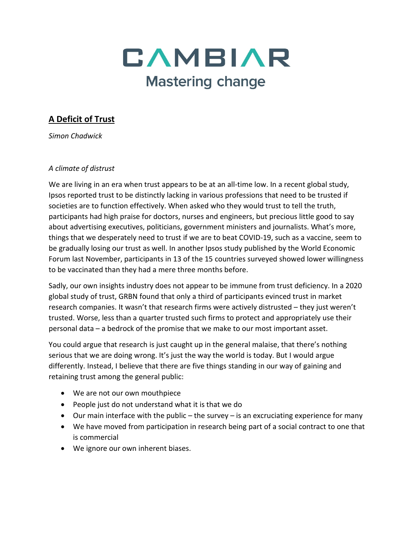

# **A Deficit of Trust**

*Simon Chadwick*

#### *A climate of distrust*

We are living in an era when trust appears to be at an all-time low. In a recent global study, Ipsos reported trust to be distinctly lacking in various professions that need to be trusted if societies are to function effectively. When asked who they would trust to tell the truth, participants had high praise for doctors, nurses and engineers, but precious little good to say about advertising executives, politicians, government ministers and journalists. What's more, things that we desperately need to trust if we are to beat COVID-19, such as a vaccine, seem to be gradually losing our trust as well. In another Ipsos study published by the World Economic Forum last November, participants in 13 of the 15 countries surveyed showed lower willingness to be vaccinated than they had a mere three months before.

Sadly, our own insights industry does not appear to be immune from trust deficiency. In a 2020 global study of trust, GRBN found that only a third of participants evinced trust in market research companies. It wasn't that research firms were actively distrusted – they just weren't trusted. Worse, less than a quarter trusted such firms to protect and appropriately use their personal data – a bedrock of the promise that we make to our most important asset.

You could argue that research is just caught up in the general malaise, that there's nothing serious that we are doing wrong. It's just the way the world is today. But I would argue differently. Instead, I believe that there are five things standing in our way of gaining and retaining trust among the general public:

- We are not our own mouthpiece
- People just do not understand what it is that we do
- Our main interface with the public the survey is an excruciating experience for many
- We have moved from participation in research being part of a social contract to one that is commercial
- We ignore our own inherent biases.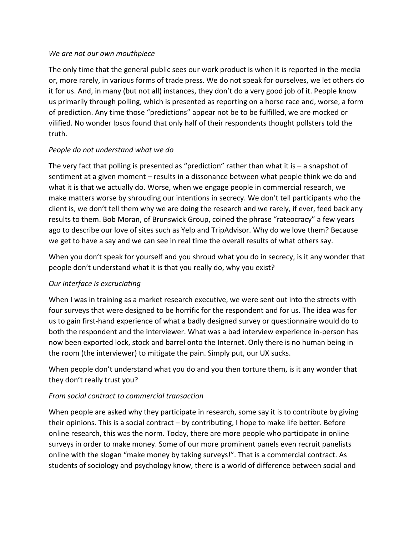#### *We are not our own mouthpiece*

The only time that the general public sees our work product is when it is reported in the media or, more rarely, in various forms of trade press. We do not speak for ourselves, we let others do it for us. And, in many (but not all) instances, they don't do a very good job of it. People know us primarily through polling, which is presented as reporting on a horse race and, worse, a form of prediction. Any time those "predictions" appear not be to be fulfilled, we are mocked or vilified. No wonder Ipsos found that only half of their respondents thought pollsters told the truth.

#### *People do not understand what we do*

The very fact that polling is presented as "prediction" rather than what it is – a snapshot of sentiment at a given moment – results in a dissonance between what people think we do and what it is that we actually do. Worse, when we engage people in commercial research, we make matters worse by shrouding our intentions in secrecy. We don't tell participants who the client is, we don't tell them why we are doing the research and we rarely, if ever, feed back any results to them. Bob Moran, of Brunswick Group, coined the phrase "rateocracy" a few years ago to describe our love of sites such as Yelp and TripAdvisor. Why do we love them? Because we get to have a say and we can see in real time the overall results of what others say.

When you don't speak for yourself and you shroud what you do in secrecy, is it any wonder that people don't understand what it is that you really do, why you exist?

#### *Our interface is excruciating*

When I was in training as a market research executive, we were sent out into the streets with four surveys that were designed to be horrific for the respondent and for us. The idea was for us to gain first-hand experience of what a badly designed survey or questionnaire would do to both the respondent and the interviewer. What was a bad interview experience in-person has now been exported lock, stock and barrel onto the Internet. Only there is no human being in the room (the interviewer) to mitigate the pain. Simply put, our UX sucks.

When people don't understand what you do and you then torture them, is it any wonder that they don't really trust you?

#### *From social contract to commercial transaction*

When people are asked why they participate in research, some say it is to contribute by giving their opinions. This is a social contract – by contributing, I hope to make life better. Before online research, this was the norm. Today, there are more people who participate in online surveys in order to make money. Some of our more prominent panels even recruit panelists online with the slogan "make money by taking surveys!". That is a commercial contract. As students of sociology and psychology know, there is a world of difference between social and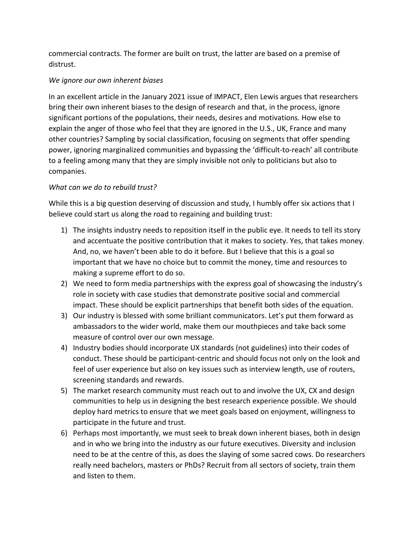commercial contracts. The former are built on trust, the latter are based on a premise of distrust.

### *We ignore our own inherent biases*

In an excellent article in the January 2021 issue of IMPACT, Elen Lewis argues that researchers bring their own inherent biases to the design of research and that, in the process, ignore significant portions of the populations, their needs, desires and motivations. How else to explain the anger of those who feel that they are ignored in the U.S., UK, France and many other countries? Sampling by social classification, focusing on segments that offer spending power, ignoring marginalized communities and bypassing the 'difficult-to-reach' all contribute to a feeling among many that they are simply invisible not only to politicians but also to companies.

## *What can we do to rebuild trust?*

While this is a big question deserving of discussion and study, I humbly offer six actions that I believe could start us along the road to regaining and building trust:

- 1) The insights industry needs to reposition itself in the public eye. It needs to tell its story and accentuate the positive contribution that it makes to society. Yes, that takes money. And, no, we haven't been able to do it before. But I believe that this is a goal so important that we have no choice but to commit the money, time and resources to making a supreme effort to do so.
- 2) We need to form media partnerships with the express goal of showcasing the industry's role in society with case studies that demonstrate positive social and commercial impact. These should be explicit partnerships that benefit both sides of the equation.
- 3) Our industry is blessed with some brilliant communicators. Let's put them forward as ambassadors to the wider world, make them our mouthpieces and take back some measure of control over our own message.
- 4) Industry bodies should incorporate UX standards (not guidelines) into their codes of conduct. These should be participant-centric and should focus not only on the look and feel of user experience but also on key issues such as interview length, use of routers, screening standards and rewards.
- 5) The market research community must reach out to and involve the UX, CX and design communities to help us in designing the best research experience possible. We should deploy hard metrics to ensure that we meet goals based on enjoyment, willingness to participate in the future and trust.
- 6) Perhaps most importantly, we must seek to break down inherent biases, both in design and in who we bring into the industry as our future executives. Diversity and inclusion need to be at the centre of this, as does the slaying of some sacred cows. Do researchers really need bachelors, masters or PhDs? Recruit from all sectors of society, train them and listen to them.